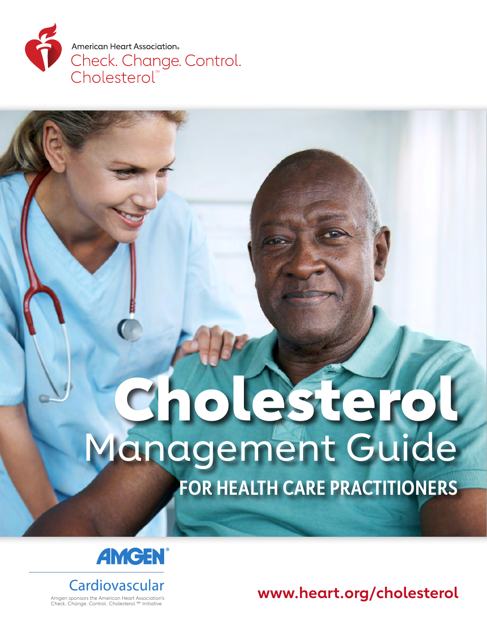

## Cholesterol Management Guide **FOR HEALTH CARE PRACTITIONERS**





Amgen sponsors the American Heart Association's Check. Change. Control. Cholesterol.™ Initiative

**www.heart.org/cholesterol**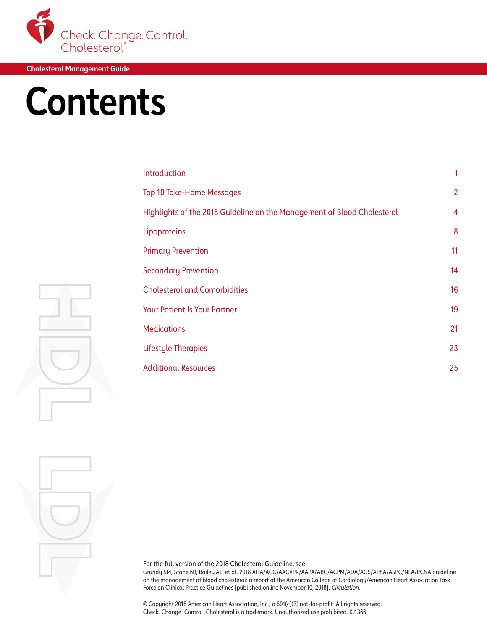

## **Contents**

| Introduction                                                            | 1              |
|-------------------------------------------------------------------------|----------------|
| <b>Top 10 Take-Home Messages</b>                                        | $\overline{2}$ |
| Highlights of the 2018 Guideline on the Management of Blood Cholesterol | $\overline{4}$ |
| Lipoproteins                                                            | 8              |
| <b>Primary Prevention</b>                                               | 11             |
| <b>Secondary Prevention</b>                                             | 14             |
| <b>Cholesterol and Comorbidities</b>                                    | 16             |
| <b>Your Patient Is Your Partner</b>                                     | 19             |
| <b>Medications</b>                                                      | 21             |
| <b>Lifestyle Therapies</b>                                              | 23             |
| <b>Additional Resources</b>                                             | 25             |
|                                                                         |                |

For the full version of the 2018 Cholesterol Guideline, see

Grundy SM, Stone NJ, Bailey AL, et al. 2018 AHA/ACC/AACVPR/AAPA/ABC/ACPM/ADA/AGS/APhA/ASPC/NLA/PCNA guideline on the management of blood cholesterol: a report of the American College of Cardiology/American Heart Association Task Force on Clinical Practice Guidelines [published online November 10, 2018]. *Circulation*.

© Copyright 2018 American Heart Association, Inc., a 501(c)(3) not-for-profit. All rights reserved. Check. Change. Control. Cholesterol is a trademark. Unauthorized use prohibited. KJ1366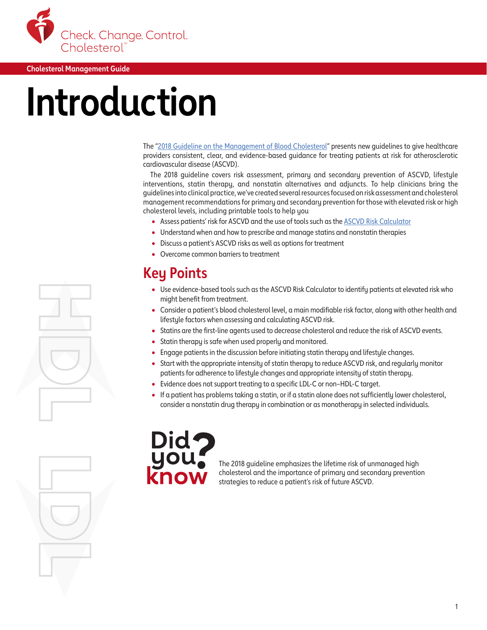<span id="page-2-0"></span>

## **Introduction**

The "[2018 Guideline on the Management of Blood Cholesterol](https://www.ahajournals.org/doi/10.1161/CIR.0000000000000625)" presents new guidelines to give healthcare providers consistent, clear, and evidence-based guidance for treating patients at risk for atherosclerotic cardiovascular disease (ASCVD).

The 2018 guideline covers risk assessment, primary and secondary prevention of ASCVD, lifestyle interventions, statin therapy, and nonstatin alternatives and adjuncts. To help clinicians bring the guidelines into clinical practice, we've created several resources focused on risk assessment and cholesterol management recommendations for primary and secondary prevention for those with elevated risk or high cholesterol levels, including printable tools to help you

- Assess patients' risk for ASCVD and the use of tools such as the [ASCVD Risk Calculator](http://static.heart.org/riskcalc/app/index.html#!/baseline-risk)
- Understand when and how to prescribe and manage statins and nonstatin therapies
- Discuss a patient's ASCVD risks as well as options for treatment
- Overcome common barriers to treatment

## **Key Points**

- Use evidence-based tools such as the ASCVD Risk Calculator to identify patients at elevated risk who might benefit from treatment.
- Consider a patient's blood cholesterol level, a main modifiable risk factor, along with other health and lifestyle factors when assessing and calculating ASCVD risk.
- Statins are the first-line agents used to decrease cholesterol and reduce the risk of ASCVD events.
- Statin therapy is safe when used properly and monitored.
- Engage patients in the discussion before initiating statin therapy and lifestyle changes.
- Start with the appropriate intensity of statin therapy to reduce ASCVD risk, and regularly monitor patients for adherence to lifestyle changes and appropriate intensity of statin therapy.
- Evidence does not support treating to a specific LDL-C or non–HDL-C target.
- If a patient has problems taking a statin, or if a statin alone does not sufficiently lower cholesterol, consider a nonstatin drug therapy in combination or as monotherapy in selected individuals.



The 2018 guideline emphasizes the lifetime risk of unmanaged high cholesterol and the importance of primary and secondary prevention strategies to reduce a patient's risk of future ASCVD.

1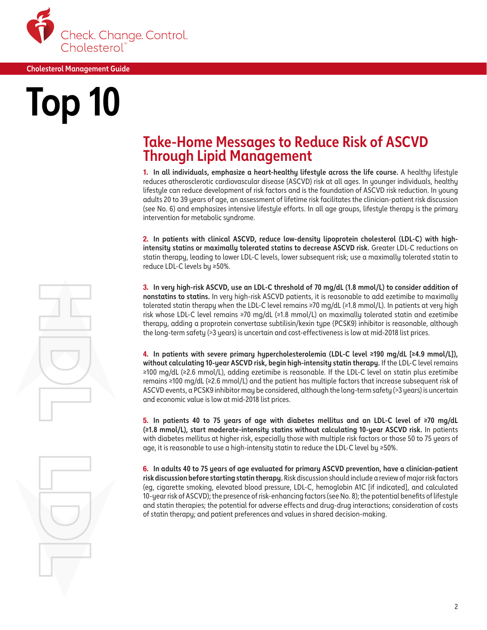<span id="page-3-0"></span>

# **Top 10**

### **Take-Home Messages to Reduce Risk of ASCVD Through Lipid Management**

1. **In all individuals, emphasize a heart-healthy lifestyle across the life course.** A healthy lifestyle reduces atherosclerotic cardiovascular disease (ASCVD) risk at all ages. In younger individuals, healthy lifestyle can reduce development of risk factors and is the foundation of ASCVD risk reduction. In young adults 20 to 39 years of age, an assessment of lifetime risk facilitates the clinician-patient risk discussion (see No. 6) and emphasizes intensive lifestyle efforts. In all age groups, lifestyle therapy is the primary intervention for metabolic syndrome.

2. **In patients with clinical ASCVD, reduce low-density lipoprotein cholesterol (LDL-C) with highintensity statins or maximally tolerated statins to decrease ASCVD risk.** Greater LDL-C reductions on statin therapy, leading to lower LDL-C levels, lower subsequent risk; use a maximally tolerated statin to reduce LDL-C levels by ≥50%.

3. **In very high-risk ASCVD, use an LDL-C threshold of 70 mg/dL (1.8 mmol/L) to consider addition of nonstatins to statins.** In very high-risk ASCVD patients, it is reasonable to add ezetimibe to maximally tolerated statin therapy when the LDL-C level remains ≥70 mg/dL (≥1.8 mmol/L). In patients at very high risk whose LDL-C level remains ≥70 mg/dL (≥1.8 mmol/L) on maximally tolerated statin and ezetimibe therapy, adding a proprotein convertase subtilisin/kexin type (PCSK9) inhibitor is reasonable, although the long-term safety (>3 years) is uncertain and cost-effectiveness is low at mid-2018 list prices.

4. **In patients with severe primary hypercholesterolemia (LDL-C level ≥190 mg/dL [≥4.9 mmol/L]), without calculating 10-year ASCVD risk, begin high-intensity statin therapy.** If the LDL-C level remains ≥100 mg/dL (≥2.6 mmol/L), adding ezetimibe is reasonable. If the LDL-C level on statin plus ezetimibe remains ≥100 mg/dL (≥2.6 mmol/L) and the patient has multiple factors that increase subsequent risk of ASCVD events, a PCSK9 inhibitor may be considered, although the long-term safety (>3 years) is uncertain and economic value is low at mid-2018 list prices.

5. **In patients 40 to 75 years of age with diabetes mellitus and an LDL-C level of ≥70 mg/dL (≥1.8 mmol/L), start moderate-intensity statins without calculating 10-year ASCVD risk.** In patients with diabetes mellitus at higher risk, especially those with multiple risk factors or those 50 to 75 years of age, it is reasonable to use a high-intensity statin to reduce the LDL-C level by ≥50%.

6. **In adults 40 to 75 years of age evaluated for primary ASCVD prevention, have a clinician-patient risk discussion before starting statin therapy.** Risk discussion should include a review of major risk factors (eg, cigarette smoking, elevated blood pressure, LDL-C, hemoglobin A1C [if indicated], and calculated 10-year risk of ASCVD); the presence of risk-enhancing factors (see No. 8); the potential benefits of lifestyle and statin therapies; the potential for adverse effects and drug-drug interactions; consideration of costs of statin therapy; and patient preferences and values in shared decision-making.

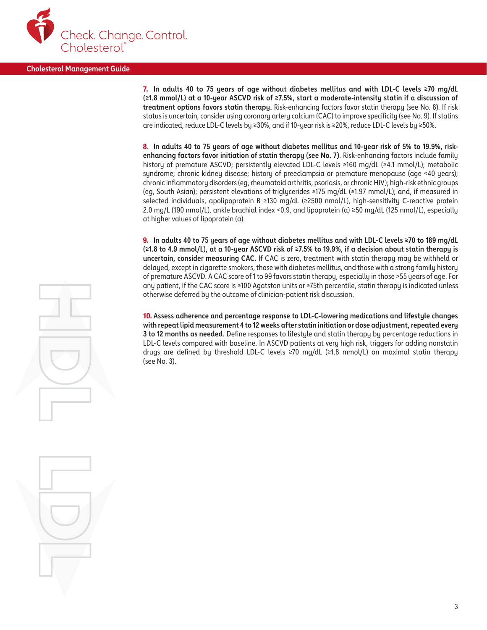

7. **In adults 40 to 75 years of age without diabetes mellitus and with LDL-C levels ≥70 mg/dL (≥1.8 mmol/L) at a 10-year ASCVD risk of ≥7.5%, start a moderate-intensity statin if a discussion of treatment options favors statin therapy.** Risk-enhancing factors favor statin therapy (see No. 8). If risk status is uncertain, consider using coronary artery calcium (CAC) to improve specificity (see No. 9). If statins are indicated, reduce LDL-C levels by ≥30%, and if 10-year risk is ≥20%, reduce LDL-C levels by ≥50%.

8. **In adults 40 to 75 years of age without diabetes mellitus and 10-year risk of 5% to 19.9%, riskenhancing factors favor initiation of statin therapy (see No. 7)**. Risk-enhancing factors include family history of premature ASCVD; persistently elevated LDL-C levels ≥160 mg/dL (≥4.1 mmol/L); metabolic syndrome; chronic kidney disease; history of preeclampsia or premature menopause (age <40 years); chronic inflammatory disorders (eg, rheumatoid arthritis, psoriasis, or chronic HIV); high-risk ethnic groups (eg, South Asian); persistent elevations of triglycerides ≥175 mg/dL (≥1.97 mmol/L); and, if measured in selected individuals, apolipoprotein B ≥130 mg/dL (≥2500 nmol/L), high-sensitivity C-reactive protein 2.0 mg/L (190 nmol/L), ankle brachial index <0.9, and lipoprotein (a) ≥50 mg/dL (125 nmol/L), especially at higher values of lipoprotein (a).

9. **In adults 40 to 75 years of age without diabetes mellitus and with LDL-C levels ≥70 to 189 mg/dL (≥1.8 to 4.9 mmol/L), at a 10-year ASCVD risk of ≥7.5% to 19.9%, if a decision about statin therapy is uncertain, consider measuring CAC.** If CAC is zero, treatment with statin therapy may be withheld or delayed, except in cigarette smokers, those with diabetes mellitus, and those with a strong family history of premature ASCVD. A CAC score of 1 to 99 favors statin therapy, especially in those >55 years of age. For any patient, if the CAC score is ≥100 Agatston units or ≥75th percentile, statin therapy is indicated unless otherwise deferred by the outcome of clinician-patient risk discussion.

10. **Assess adherence and percentage response to LDL-C-lowering medications and lifestyle changes with repeat lipid measurement 4 to 12 weeks after statin initiation or dose adjustment, repeated every 3 to 12 months as needed.** Define responses to lifestyle and statin therapy by percentage reductions in LDL-C levels compared with baseline. In ASCVD patients at very high risk, triggers for adding nonstatin drugs are defined by threshold LDL-C levels ≥70 mg/dL (≥1.8 mmol/L) on maximal statin therapy (see No. 3).

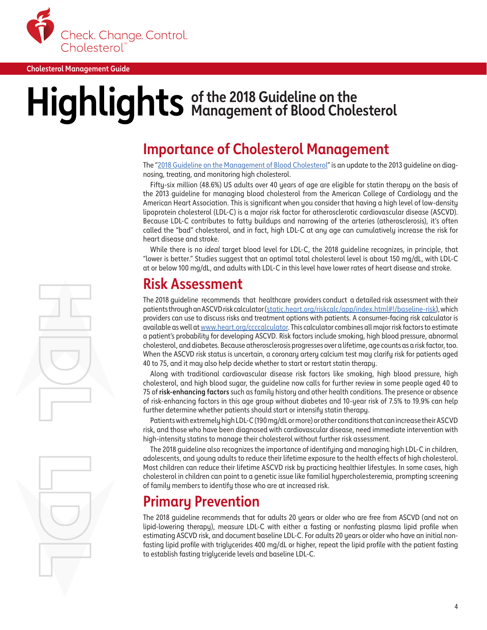

## $\textbf{Highlights}$  of the 2018 Guideline on the

### **Importance of Cholesterol Management**

The ["2018 Guideline on the Management of Blood Cholesterol"](https://www.ahajournals.org/doi/10.1161/CIR.0000000000000625) is an update to the 2013 guideline on diagnosing, treating, and monitoring high cholesterol.

Fifty-six million (48.6%) US adults over 40 years of age are eligible for statin therapy on the basis of the 2013 guideline for managing blood cholesterol from the American College of Cardiology and the American Heart Association. This is significant when you consider that having a high level of low-density lipoprotein cholesterol (LDL-C) is a major risk factor for atherosclerotic cardiovascular disease (ASCVD). Because LDL-C contributes to fatty buildups and narrowing of the arteries (atherosclerosis), it's often called the "bad" cholesterol, and in fact, high LDL-C at any age can cumulatively increase the risk for heart disease and stroke.

While there is no *ideal* target blood level for LDL-C, the 2018 guideline recognizes, in principle, that "lower is better." Studies suggest that an optimal total cholesterol level is about 150 mg/dL, with LDL-C at or below 100 mg/dL, and adults with LDL-C in this level have lower rates of heart disease and stroke.

### **Risk Assessment**

The 2018 guideline recommends that healthcare providers conduct a detailed risk assessment with their patients through an ASCVD risk calculator ([static.heart.org/riskcalc/app/index.html#!/baseline-risk](http://static.heart.org/riskcalc/app/index.html#!/baseline-risk)), which providers can use to discuss risks and treatment options with patients. A consumer-facing risk calculator is available as well at [www.heart.org/ccccalculator](http://www.heart.org/ccccalculator). This calculator combines all major risk factors to estimate a patient's probability for developing ASCVD. Risk factors include smoking, high blood pressure, abnormal cholesterol, and diabetes. Because atherosclerosis progresses over a lifetime, age counts as a risk factor, too. When the ASCVD risk status is uncertain, a coronary artery calcium test may clarify risk for patients aged 40 to 75, and it may also help decide whether to start or restart statin therapy.

Along with traditional cardiovascular disease risk factors like smoking, high blood pressure, high cholesterol, and high blood sugar, the guideline now calls for further review in some people aged 40 to 75 of **risk-enhancing factors** such as family history and other health conditions. The presence or absence of risk-enhancing factors in this age group without diabetes and 10-year risk of 7.5% to 19.9% can help further determine whether patients should start or intensify statin therapy.

Patients with extremely high LDL-C (190 mg/dL or more) or other conditions that can increase their ASCVD risk, and those who have been diagnosed with cardiovascular disease, need immediate intervention with high-intensity statins to manage their cholesterol without further risk assessment.

The 2018 guideline also recognizes the importance of identifying and managing high LDL-C in children, adolescents, and young adults to reduce their lifetime exposure to the health effects of high cholesterol. Most children can reduce their lifetime ASCVD risk by practicing healthier lifestyles. In some cases, high cholesterol in children can point to a genetic issue like familial hypercholesteremia, prompting screening of family members to identify those who are at increased risk.

## **Primary Prevention**

The 2018 guideline recommends that for adults 20 years or older who are free from ASCVD (and not on lipid-lowering therapy), measure LDL-C with either a fasting or nonfasting plasma lipid profile when estimating ASCVD risk, and document baseline LDL-C. For adults 20 years or older who have an initial nonfasting lipid profile with triglycerides 400 mg/dL or higher, repeat the lipid profile with the patient fasting to establish fasting triglyceride levels and baseline LDL-C.

4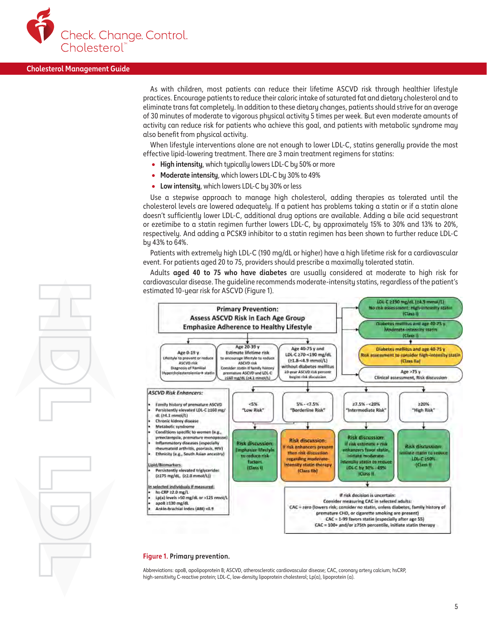

As with children, most patients can reduce their lifetime ASCVD risk through healthier lifestyle practices. Encourage patients to reduce their caloric intake of saturated fat and dietary cholesterol and to eliminate trans fat completely. In addition to these dietary changes, patients should strive for an average of 30 minutes of moderate to vigorous physical activity 5 times per week. But even moderate amounts of activity can reduce risk for patients who achieve this goal, and patients with metabolic syndrome may also benefit from physical activity.

When lifestyle interventions alone are not enough to lower LDL-C, statins generally provide the most effective lipid-lowering treatment. There are 3 main treatment regimens for statins:

- **High intensity**, which typically lowers LDL-C by 50% or more
- **Moderate intensity**, which lowers LDL-C by 30% to 49%
- **Low intensity**, which lowers LDL-C by 30% or less

Use a stepwise approach to manage high cholesterol, adding therapies as tolerated until the cholesterol levels are lowered adequately. If a patient has problems taking a statin or if a statin alone doesn't sufficiently lower LDL-C, additional drug options are available. Adding a bile acid sequestrant or ezetimibe to a statin regimen further lowers LDL-C, by approximately 15% to 30% and 13% to 20%, respectively. And adding a PCSK9 inhibitor to a statin regimen has been shown to further reduce LDL-C by 43% to 64%.

Patients with extremely high LDL-C (190 mg/dL or higher) have a high lifetime risk for a cardiovascular event. For patients aged 20 to 75, providers should prescribe a maximally tolerated statin.

Adults **aged 40 to 75 who have diabetes** are usually considered at moderate to high risk for cardiovascular disease. The guideline recommends moderate-intensity statins, regardless of the patient's estimated 10-year risk for ASCVD (Figure 1).



#### **Figure 1. Primary prevention.**

Abbreviations: apoB, apolipoprotein B; ASCVD, atherosclerotic cardiovascular disease; CAC, coronary artery calcium; hsCRP, high-sensitivity C-reactive protein; LDL-C, low-density lipoprotein cholesterol; Lp(a), lipoprotein (a).

5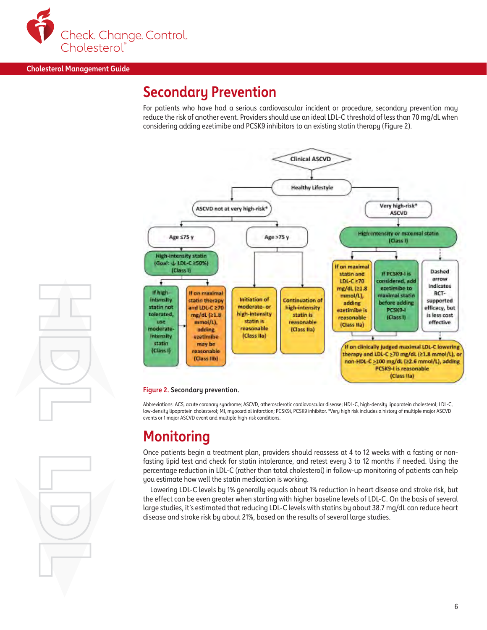

### **Secondary Prevention**

For patients who have had a serious cardiovascular incident or procedure, secondary prevention may reduce the risk of another event. Providers should use an ideal LDL-C threshold of less than 70 mg/dL when considering adding ezetimibe and PCSK9 inhibitors to an existing statin therapy (Figure 2).



#### **Figure 2. Secondary prevention.**

Abbreviations: ACS, acute coronary syndrome; ASCVD, atherosclerotic cardiovascular disease; HDL-C, high-density lipoprotein cholesterol; LDL-C, low-density lipoprotein cholesterol; MI, myocardial infarction; PCSK9i, PCSK9 inhibitor. \*Very high risk includes a history of multiple major ASCVD events or 1 major ASCVD event and multiple high-risk conditions.

### **Monitoring**

Once patients begin a treatment plan, providers should reassess at 4 to 12 weeks with a fasting or nonfasting lipid test and check for statin intolerance, and retest every 3 to 12 months if needed. Using the percentage reduction in LDL-C (rather than total cholesterol) in follow-up monitoring of patients can help you estimate how well the statin medication is working.

Lowering LDL-C levels by 1% generally equals about 1% reduction in heart disease and stroke risk, but the effect can be even greater when starting with higher baseline levels of LDL-C. On the basis of several large studies, it's estimated that reducing LDL-C levels with statins by about 38.7 mg/dL can reduce heart disease and stroke risk by about 21%, based on the results of several large studies.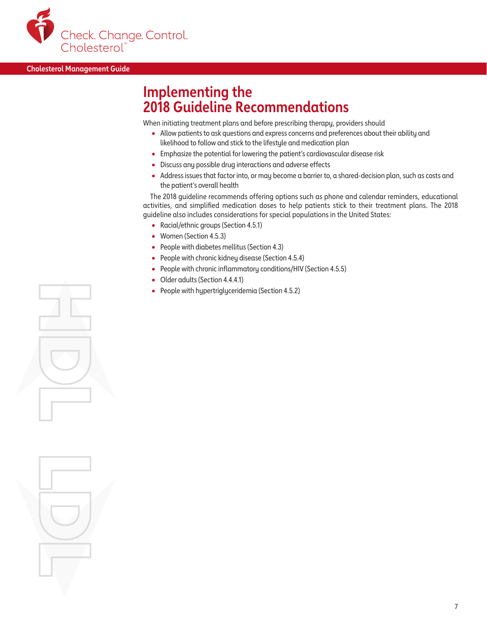

### **Implementing the 2018 Guideline Recommendations**

When initiating treatment plans and before prescribing therapy, providers should

- Allow patients to ask questions and express concerns and preferences about their ability and likelihood to follow and stick to the lifestyle and medication plan
- Emphasize the potential for lowering the patient's cardiovascular disease risk
- Discuss any possible drug interactions and adverse effects
- Address issues that factor into, or may become a barrier to, a shared-decision plan, such as costs and the patient's overall health

The 2018 guideline recommends offering options such as phone and calendar reminders, educational activities, and simplified medication doses to help patients stick to their treatment plans. The 2018 guideline also includes considerations for special populations in the United States:

- Racial/ethnic groups (Section 4.5.1)
- Women (Section 4.5.3)
- People with diabetes mellitus (Section 4.3)
- People with chronic kidney disease (Section 4.5.4)
- People with chronic inflammatory conditions/HIV (Section 4.5.5)
- Older adults (Section 4.4.4.1)
- People with hypertriglyceridemia (Section 4.5.2)

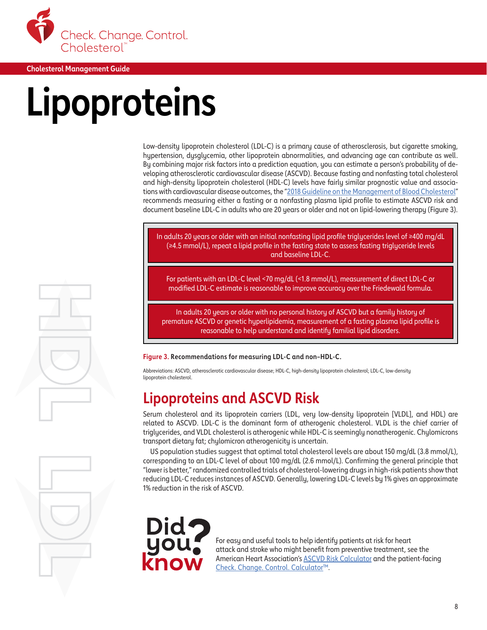<span id="page-9-0"></span>

## **Lipoproteins**

Low-density lipoprotein cholesterol (LDL-C) is a primary cause of atherosclerosis, but cigarette smoking, hypertension, dysglycemia, other lipoprotein abnormalities, and advancing age can contribute as well. By combining major risk factors into a prediction equation, you can estimate a person's probability of developing atherosclerotic cardiovascular disease (ASCVD). Because fasting and nonfasting total cholesterol and high-density lipoprotein cholesterol (HDL-C) levels have fairly similar prognostic value and associa-tions with cardiovascular disease outcomes, the ["2018 Guideline on the Management of Blood Cholesterol"](https://www.ahajournals.org/doi/10.1161/CIR.0000000000000625) recommends measuring either a fasting or a nonfasting plasma lipid profile to estimate ASCVD risk and document baseline LDL-C in adults who are 20 years or older and not on lipid-lowering therapy (Figure 3).

In adults 20 years or older with an initial nonfasting lipid profile triglycerides level of ≥400 mg/dL (≥4.5 mmol/L), repeat a lipid profile in the fasting state to assess fasting triglyceride levels and baseline LDL-C.

For patients with an LDL-C level <70 mg/dL (<1.8 mmol/L), measurement of direct LDL-C or modified LDL-C estimate is reasonable to improve accuracy over the Friedewald formula.

In adults 20 years or older with no personal history of ASCVD but a family history of premature ASCVD or genetic hyperlipidemia, measurement of a fasting plasma lipid profile is reasonable to help understand and identify familial lipid disorders.

**Figure 3. Recommendations for measuring LDL-C and non–HDL-C.**

Abbreviations: ASCVD, atherosclerotic cardiovascular disease; HDL-C, high-density lipoprotein cholesterol; LDL-C, low-density lipoprotein cholesterol.

## **Lipoproteins and ASCVD Risk**

Serum cholesterol and its lipoprotein carriers (LDL, very low-density lipoprotein [VLDL], and HDL) are related to ASCVD. LDL-C is the dominant form of atherogenic cholesterol. VLDL is the chief carrier of triglycerides, and VLDL cholesterol is atherogenic while HDL-C is seemingly nonatherogenic. Chylomicrons transport dietary fat; chylomicron atherogenicity is uncertain.

US population studies suggest that optimal total cholesterol levels are about 150 mg/dL (3.8 mmol/L), corresponding to an LDL-C level of about 100 mg/dL (2.6 mmol/L). Confirming the general principle that "lower is better," randomized controlled trials of cholesterol-lowering drugs in high-risk patients show that reducing LDL-C reduces instances of ASCVD. Generally, lowering LDL-C levels by 1% gives an approximate 1% reduction in the risk of ASCVD.

For easy and useful tools to help identify patients at risk for heart attack and stroke who might benefit from preventive treatment, see the American Heart Association's [ASCVD Risk Calculator](http://static.heart.org/riskcalc/app/index.html#!/baseline-risk) and the patient-facing [Check. Change. Control. Calculator](https://ccccalculator.ccctracker.com/)™.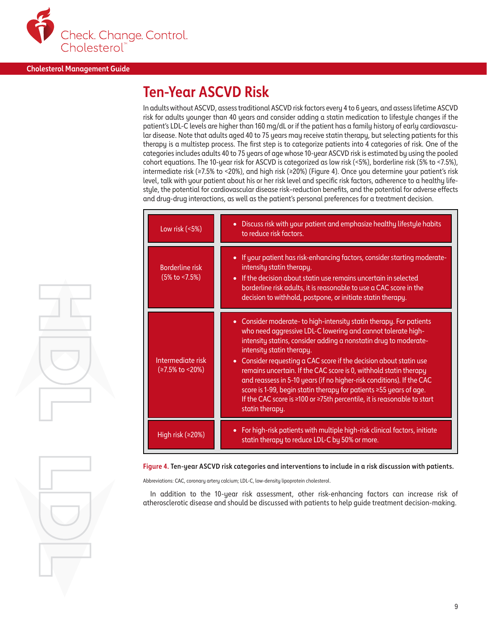

## **Ten-Year ASCVD Risk**

In adults without ASCVD, assess traditional ASCVD risk factors every 4 to 6 years, and assess lifetime ASCVD risk for adults younger than 40 years and consider adding a statin medication to lifestyle changes if the patient's LDL-C levels are higher than 160 mg/dL or if the patient has a family history of early cardiovascular disease. Note that adults aged 40 to 75 years may receive statin therapy, but selecting patients for this therapy is a multistep process. The first step is to categorize patients into 4 categories of risk. One of the categories includes adults 40 to 75 years of age whose 10-year ASCVD risk is estimated by using the pooled cohort equations. The 10-year risk for ASCVD is categorized as low risk (<5%), borderline risk (5% to <7.5%), intermediate risk (≥7.5% to <20%), and high risk (≥20%) (Figure 4). Once you determine your patient's risk level, talk with your patient about his or her risk level and specific risk factors, adherence to a healthy lifestyle, the potential for cardiovascular disease risk–reduction benefits, and the potential for adverse effects and drug-drug interactions, as well as the patient's personal preferences for a treatment decision.

| Low risk $(5%)$                                   | Discuss risk with your patient and emphasize healthy lifestyle habits<br>$\bullet$<br>to reduce risk factors.                                                                                                                                                                                                                                                                                                                                                                                                                                                                                                                          |
|---------------------------------------------------|----------------------------------------------------------------------------------------------------------------------------------------------------------------------------------------------------------------------------------------------------------------------------------------------------------------------------------------------------------------------------------------------------------------------------------------------------------------------------------------------------------------------------------------------------------------------------------------------------------------------------------------|
| <b>Borderline risk</b><br>$(5\% \text{ to } 5\%)$ | If your patient has risk-enhancing factors, consider starting moderate-<br>$\bullet$<br>intensity statin therapy.<br>If the decision about statin use remains uncertain in selected<br>$\bullet$<br>borderline risk adults, it is reasonable to use a CAC score in the<br>decision to withhold, postpone, or initiate statin therapy.                                                                                                                                                                                                                                                                                                  |
| Intermediate risk<br>(≥7.5% to < 20%)             | • Consider moderate-to high-intensity statin therapy. For patients<br>who need aggressive LDL-C lowering and cannot tolerate high-<br>intensity statins, consider adding a nonstatin drug to moderate-<br>intensity statin therapy.<br>Consider requesting a CAC score if the decision about statin use<br>$\bullet$<br>remains uncertain. If the CAC score is 0, withhold statin therapy<br>and reassess in 5-10 years (if no higher-risk conditions). If the CAC<br>score is 1-99, begin statin therapy for patients ≥55 years of age.<br>If the CAC score is ≥100 or ≥75th percentile, it is reasonable to start<br>statin therapy. |
| High risk (≥20%)                                  | For high-risk patients with multiple high-risk clinical factors, initiate<br>$\bullet$<br>statin therapy to reduce LDL-C by 50% or more.                                                                                                                                                                                                                                                                                                                                                                                                                                                                                               |

**Figure 4. Ten-year ASCVD risk categories and interventions to include in a risk discussion with patients.** 

Abbreviations: CAC, coronary artery calcium; LDL-C, low-density lipoprotein cholesterol.

In addition to the 10-year risk assessment, other risk-enhancing factors can increase risk of atherosclerotic disease and should be discussed with patients to help guide treatment decision-making.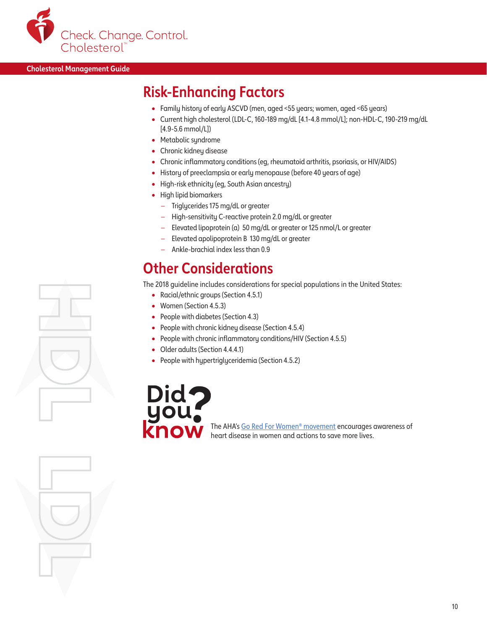

## **Risk-Enhancing Factors**

- Family history of early ASCVD (men, aged <55 years; women, aged <65 years)
- Current high cholesterol (LDL-C, 160-189 mg/dL [4.1-4.8 mmol/L]; non-HDL-C, 190-219 mg/dL [4.9-5.6 mmol/L])
- Metabolic syndrome
- Chronic kidney disease
- Chronic inflammatory conditions (eg, rheumatoid arthritis, psoriasis, or HIV/AIDS)
- History of preeclampsia or early menopause (before 40 years of age)
- High-risk ethnicity (eg, South Asian ancestry)
- High lipid biomarkers
	- Triglycerides 175 mg/dL or greater
	- High-sensitivity C-reactive protein 2.0 mg/dL or greater
	- Elevated lipoprotein (a) 50 mg/dL or greater or 125 nmol/L or greater
	- Elevated apolipoprotein B 130 mg/dL or greater
	- Ankle-brachial index less than 0.9

## **Other Considerations**

The 2018 guideline includes considerations for special populations in the United States:

- Racial/ethnic groups (Section 4.5.1)
- Women (Section 4.5.3)
- People with diabetes (Section 4.3)
- People with chronic kidney disease (Section 4.5.4)
- People with chronic inflammatory conditions/HIV (Section 4.5.5)
- Older adults (Section 4.4.4.1)
- People with hypertriglyceridemia (Section 4.5.2)



The AHA's [Go Red For Women® m](https://www.goredforwomen.org/)ovement encourages awareness of heart disease in women and actions to save more lives.

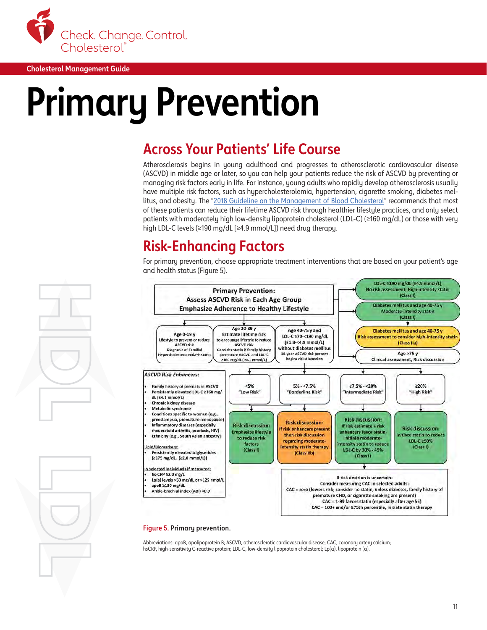<span id="page-12-0"></span>

## **Primary Prevention**

## **Across Your Patients' Life Course**

Atherosclerosis begins in young adulthood and progresses to atherosclerotic cardiovascular disease (ASCVD) in middle age or later, so you can help your patients reduce the risk of ASCVD by preventing or managing risk factors early in life. For instance, young adults who rapidly develop atherosclerosis usually have multiple risk factors, such as hypercholesterolemia, hypertension, cigarette smoking, diabetes mel-litus, and obesity. The "[2018 Guideline on the Management of Blood Cholesterol](https://www.ahajournals.org/doi/10.1161/CIR.0000000000000625)" recommends that most of these patients can reduce their lifetime ASCVD risk through healthier lifestyle practices, and only select patients with moderately high low-density lipoprotein cholesterol (LDL-C) (≥160 mg/dL) or those with very high LDL-C levels (≥190 mg/dL [≥4.9 mmol/L]) need drug therapy.

## **Risk-Enhancing Factors**

For primary prevention, choose appropriate treatment interventions that are based on your patient's age and health status (Figure 5).



#### **Figure 5. Primary prevention.**

Abbreviations: apoB, apolipoprotein B; ASCVD, atherosclerotic cardiovascular disease; CAC, coronary artery calcium; hsCRP, high-sensitivity C-reactive protein; LDL-C, low-density lipoprotein cholesterol; Lp(a), lipoprotein (a).

11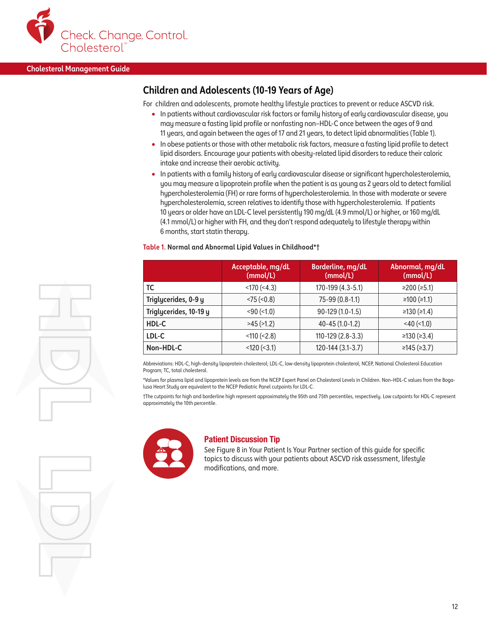

#### **Children and Adolescents (10-19 Years of Age)**

For children and adolescents, promote healthy lifestyle practices to prevent or reduce ASCVD risk.

- In patients without cardiovascular risk factors or family history of early cardiovascular disease, you may measure a fasting lipid profile or nonfasting non–HDL-C once between the ages of 9 and 11 years, and again between the ages of 17 and 21 years, to detect lipid abnormalities (Table 1).
- In obese patients or those with other metabolic risk factors, measure a fasting lipid profile to detect lipid disorders. Encourage your patients with obesity-related lipid disorders to reduce their caloric intake and increase their aerobic activity.
- In patients with a family history of early cardiovascular disease or significant hypercholesterolemia, you may measure a lipoprotein profile when the patient is as young as 2 years old to detect familial hypercholesterolemia (FH) or rare forms of hypercholesterolemia. In those with moderate or severe hypercholesterolemia, screen relatives to identify those with hypercholesterolemia. If patients 10 years or older have an LDL-C level persistently 190 mg/dL (4.9 mmol/L) or higher, or 160 mg/dL (4.1 mmol/L) or higher with FH, and they don't respond adequately to lifestyle therapy within 6 months, start statin therapy.

#### **Table 1. Normal and Abnormal Lipid Values in Childhood\*†**

|                        | Acceptable, mg/dL<br>(mmol/L) | Borderline, mg/dL<br>(mmol/L) | Abnormal, mg/dL<br>(mmol/L) |
|------------------------|-------------------------------|-------------------------------|-----------------------------|
| TC                     | $<$ 170 ( $<$ 4.3)            | 170-199 (4.3-5.1)             | ≥200 $(≥5.1)$               |
| Triglycerides, 0-9 y   | $<$ 75 ( $<$ 0.8)             | $75-99(0.8-1.1)$              | ≥100 $(≥1.1)$               |
| Triglycerides, 10-19 y | $<$ 90 $(<$ 1.0)              | $90-129(1.0-1.5)$             | ≥130 $(≥1.4)$               |
| HDL-C                  | $>45$ ( $>1.2$ )              | $40 - 45(1.0 - 1.2)$          | $<$ 40 ( $<$ 1.0)           |
| LDL-C                  | $<$ 110 ( $<$ 2.8)            | $110 - 129(2.8 - 3.3)$        | ≥130 $(≥3.4)$               |
| Non-HDL-C              | $<$ 120 ( $<$ 3.1)            | 120-144 (3.1-3.7)             | ≥145 $(≥3.7)$               |

Abbreviations: HDL-C, high-density lipoprotein cholesterol; LDL-C, low-density lipoprotein cholesterol; NCEP, National Cholesterol Education Program; TC, total cholesterol.

\*Values for plasma lipid and lipoprotein levels are from the NCEP Expert Panel on Cholesterol Levels in Children. Non–HDL-C values from the Bogalusa Heart Study are equivalent to the NCEP Pediatric Panel cutpoints for LDL-C.

†The cutpoints for high and borderline high represent approximately the 95th and 75th percentiles, respectively. Low cutpoints for HDL-C represent approximately the 10th percentile.



#### Patient Discussion Tip

See Figure 8 in Your Patient Is Your Partner section of this guide for specific topics to discuss with your patients about ASCVD risk assessment, lifestyle modifications, and more.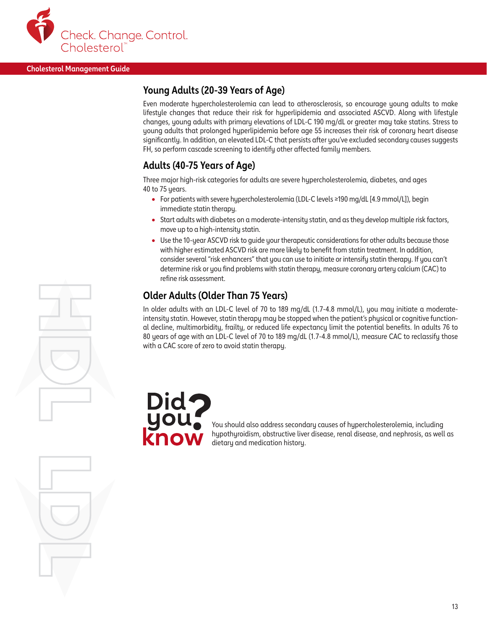

### **Young Adults (20-39 Years of Age)**

Even moderate hypercholesterolemia can lead to atherosclerosis, so encourage young adults to make lifestyle changes that reduce their risk for hyperlipidemia and associated ASCVD. Along with lifestyle changes, young adults with primary elevations of LDL-C 190 mg/dL or greater may take statins. Stress to young adults that prolonged hyperlipidemia before age 55 increases their risk of coronary heart disease significantly. In addition, an elevated LDL-C that persists after you've excluded secondary causes suggests FH, so perform cascade screening to identify other affected family members.

#### **Adults (40-75 Years of Age)**

Three major high-risk categories for adults are severe hypercholesterolemia, diabetes, and ages 40 to 75 years.

- For patients with severe hypercholesterolemia (LDL-C levels ≥190 mg/dL [4.9 mmol/L]), begin immediate statin therapy.
- Start adults with diabetes on a moderate-intensity statin, and as they develop multiple risk factors, move up to a high-intensity statin.
- Use the 10-year ASCVD risk to guide your therapeutic considerations for other adults because those with higher estimated ASCVD risk are more likely to benefit from statin treatment. In addition, consider several "risk enhancers" that you can use to initiate or intensify statin therapy. If you can't determine risk or you find problems with statin therapy, measure coronary artery calcium (CAC) to refine risk assessment.

#### **Older Adults (Older Than 75 Years)**

In older adults with an LDL-C level of 70 to 189 mg/dL (1.7-4.8 mmol/L), you may initiate a moderateintensity statin. However, statin therapy may be stopped when the patient's physical or cognitive functional decline, multimorbidity, frailty, or reduced life expectancy limit the potential benefits. In adults 76 to 80 years of age with an LDL-C level of 70 to 189 mg/dL (1.7-4.8 mmol/L), measure CAC to reclassify those with a CAC score of zero to avoid statin therapy.



You should also address secondary causes of hypercholesterolemia, including hypothyroidism, obstructive liver disease, renal disease, and nephrosis, as well as dietary and medication history.

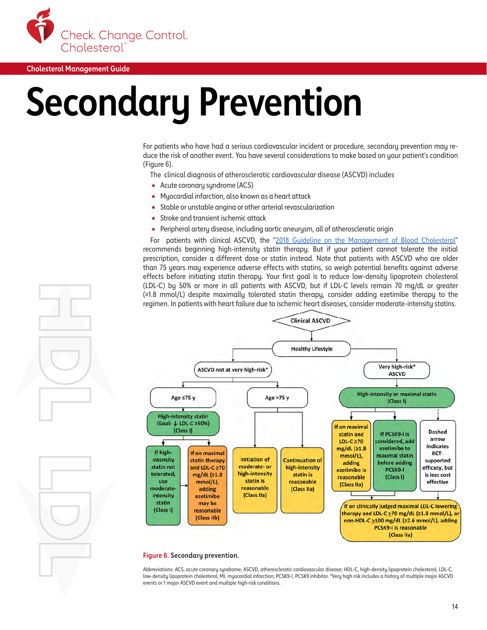<span id="page-15-0"></span>

## **Secondary Prevention**

For patients who have had a serious cardiovascular incident or procedure, secondary prevention may reduce the risk of another event. You have several considerations to make based on your patient's condition (Figure 6).

The clinical diagnosis of atherosclerotic cardiovascular disease (ASCVD) includes

- Acute coronary syndrome (ACS)
- Myocardial infarction, also known as a heart attack
- Stable or unstable angina or other arterial revascularization
- Stroke and transient ischemic attack
- Peripheral artery disease, including aortic aneurysm, all of atherosclerotic origin

For patients with clinical ASCVD, the "[2018 Guideline on the Management of Blood Cholesterol"](https://www.ahajournals.org/doi/10.1161/CIR.0000000000000625) recommends beginning high-intensity statin therapy. But if your patient cannot tolerate the initial prescription, consider a different dose or statin instead. Note that patients with ASCVD who are older than 75 years may experience adverse effects with statins, so weigh potential benefits against adverse effects before initiating statin therapy. Your first goal is to reduce low-density lipoprotein cholesterol (LDL-C) by 50% or more in all patients with ASCVD, but if LDL-C levels remain 70 mg/dL or greater (≥1.8 mmol/L) despite maximally tolerated statin therapy, consider adding ezetimibe therapy to the regimen. In patients with heart failure due to ischemic heart diseases, consider moderate-intensity statins.



#### **Figure 6. Secondary prevention.**

Abbreviations: ACS, acute coronary syndrome; ASCVD, atherosclerotic cardiovascular disease; HDL-C, high-density lipoprotein cholesterol; LDL-C, low-density lipoprotein cholesterol; MI, myocardial infarction; PCSK9-I, PCSK9 inhibitor. \*Very high risk includes a history of multiple major ASCVD events or 1 major ASCVD event and multiple high-risk conditions.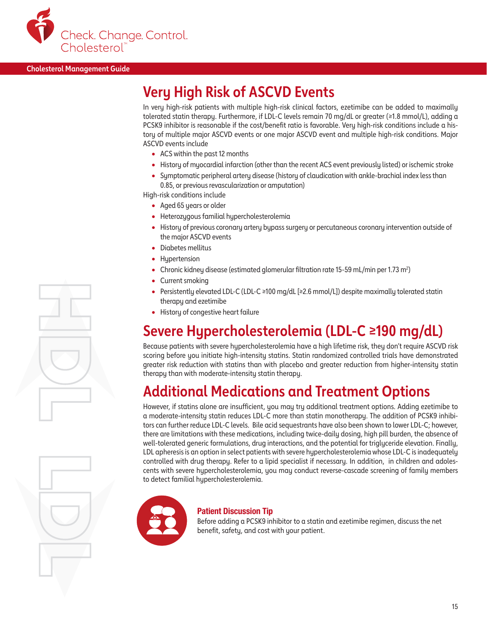

## **Very High Risk of ASCVD Events**

In very high-risk patients with multiple high-risk clinical factors, ezetimibe can be added to maximally tolerated statin therapy. Furthermore, if LDL-C levels remain 70 mg/dL or greater (≥1.8 mmol/L), adding a PCSK9 inhibitor is reasonable if the cost/benefit ratio is favorable. Very high-risk conditions include a history of multiple major ASCVD events or one major ASCVD event and multiple high-risk conditions. Major ASCVD events include

- ACS within the past 12 months
- History of myocardial infarction (other than the recent ACS event previously listed) or ischemic stroke
- Symptomatic peripheral artery disease (history of claudication with ankle-brachial index less than 0.85, or previous revascularization or amputation)

High-risk conditions include

- Aged 65 years or older
- Heterozygous familial hypercholesterolemia
- History of previous coronary artery bypass surgery or percutaneous coronary intervention outside of the major ASCVD events
- Diabetes mellitus
- Hypertension
- Chronic kidney disease (estimated glomerular filtration rate 15-59 mL/min per 1.73 m<sup>2</sup>)
- Current smoking
- Persistently elevated LDL-C (LDL-C ≥100 mg/dL [≥2.6 mmol/L]) despite maximally tolerated statin therapy and ezetimibe
- History of congestive heart failure

## **Severe Hypercholesterolemia (LDL-C ≥190 mg/dL)**

Because patients with severe hypercholesterolemia have a high lifetime risk, they don't require ASCVD risk scoring before you initiate high-intensity statins. Statin randomized controlled trials have demonstrated greater risk reduction with statins than with placebo and greater reduction from higher-intensity statin therapy than with moderate-intensity statin therapy.

## **Additional Medications and Treatment Options**

However, if statins alone are insufficient, you may try additional treatment options. Adding ezetimibe to a moderate-intensity statin reduces LDL-C more than statin monotherapy. The addition of PCSK9 inhibitors can further reduce LDL-C levels. Bile acid sequestrants have also been shown to lower LDL-C; however, there are limitations with these medications, including twice-daily dosing, high pill burden, the absence of well-tolerated generic formulations, drug interactions, and the potential for triglyceride elevation. Finally, LDL apheresis is an option in select patients with severe hypercholesterolemia whose LDL-C is inadequately controlled with drug therapy. Refer to a lipid specialist if necessary. In addition, in children and adolescents with severe hypercholesterolemia, you may conduct reverse-cascade screening of family members to detect familial hypercholesterolemia.



#### Patient Discussion Tip

Before adding a PCSK9 inhibitor to a statin and ezetimibe regimen, discuss the net benefit, safety, and cost with your patient.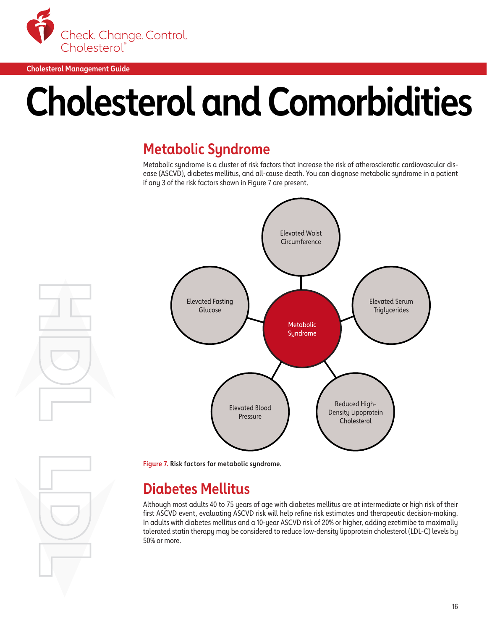<span id="page-17-0"></span>

## **Cholesterol and Comorbidities**

## **Metabolic Syndrome**

Metabolic syndrome is a cluster of risk factors that increase the risk of atherosclerotic cardiovascular disease (ASCVD), diabetes mellitus, and all-cause death. You can diagnose metabolic syndrome in a patient if any 3 of the risk factors shown in Figure 7 are present.



**Figure 7. Risk factors for metabolic syndrome.**

## **Diabetes Mellitus**

Although most adults 40 to 75 years of age with diabetes mellitus are at intermediate or high risk of their first ASCVD event, evaluating ASCVD risk will help refine risk estimates and therapeutic decision-making. In adults with diabetes mellitus and a 10-year ASCVD risk of 20% or higher, adding ezetimibe to maximally tolerated statin therapy may be considered to reduce low-density lipoprotein cholesterol (LDL-C) levels by 50% or more.

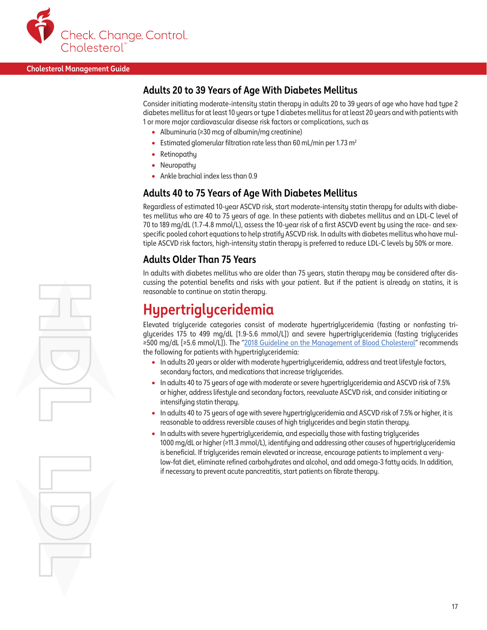

#### **Adults 20 to 39 Years of Age With Diabetes Mellitus**

Consider initiating moderate-intensity statin therapy in adults 20 to 39 years of age who have had type 2 diabetes mellitus for at least 10 years or type 1 diabetes mellitus for at least 20 years and with patients with 1 or more major cardiovascular disease risk factors or complications, such as

- Albuminuria (≥30 mcg of albumin/mg creatinine)
- Estimated glomerular filtration rate less than 60 mL/min per 1.73 m<sup>2</sup>
- Retinopathy
- Neuropathy
- Ankle brachial index less than 0.9

#### **Adults 40 to 75 Years of Age With Diabetes Mellitus**

Regardless of estimated 10-year ASCVD risk, start moderate-intensity statin therapy for adults with diabetes mellitus who are 40 to 75 years of age. In these patients with diabetes mellitus and an LDL-C level of 70 to 189 mg/dL (1.7-4.8 mmol/L), assess the 10-year risk of a first ASCVD event by using the race- and sexspecific pooled cohort equations to help stratify ASCVD risk. In adults with diabetes mellitus who have multiple ASCVD risk factors, high-intensity statin therapy is preferred to reduce LDL-C levels by 50% or more.

#### **Adults Older Than 75 Years**

In adults with diabetes mellitus who are older than 75 years, statin therapy may be considered after discussing the potential benefits and risks with your patient. But if the patient is already on statins, it is reasonable to continue on statin therapy.

## **Hypertriglyceridemia**

Elevated triglyceride categories consist of moderate hypertriglyceridemia (fasting or nonfasting triglycerides 175 to 499 mg/dL [1.9-5.6 mmol/L]) and severe hypertriglyceridemia (fasting triglycerides ≥500 mg/dL [≥5.6 mmol/L]). The "[2018 Guideline on the Management of Blood Cholesterol](https://www.ahajournals.org/doi/10.1161/CIR.0000000000000625)" recommends the following for patients with hypertriglyceridemia:

- In adults 20 years or older with moderate hypertriglyceridemia, address and treat lifestyle factors, secondary factors, and medications that increase triglycerides.
- In adults 40 to 75 years of age with moderate or severe hypertriglyceridemia and ASCVD risk of 7.5% or higher, address lifestyle and secondary factors, reevaluate ASCVD risk, and consider initiating or intensifying statin therapy.
- In adults 40 to 75 years of age with severe hypertriglyceridemia and ASCVD risk of 7.5% or higher, it is reasonable to address reversible causes of high triglycerides and begin statin therapy.
- In adults with severe hypertriglyceridemia, and especially those with fasting triglycerides 1000 mg/dL or higher (≥11.3 mmol/L), identifying and addressing other causes of hypertriglyceridemia is beneficial. If triglycerides remain elevated or increase, encourage patients to implement a verylow-fat diet, eliminate refined carbohydrates and alcohol, and add omega-3 fatty acids. In addition, if necessary to prevent acute pancreatitis, start patients on fibrate therapy.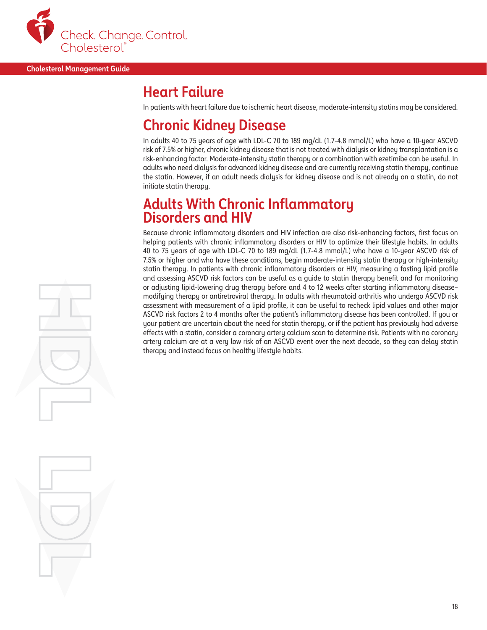

### **Heart Failure**

In patients with heart failure due to ischemic heart disease, moderate-intensity statins may be considered.

## **Chronic Kidney Disease**

In adults 40 to 75 years of age with LDL-C 70 to 189 mg/dL (1.7-4.8 mmol/L) who have a 10-year ASCVD risk of 7.5% or higher, chronic kidney disease that is not treated with dialysis or kidney transplantation is a risk-enhancing factor. Moderate-intensity statin therapy or a combination with ezetimibe can be useful. In adults who need dialysis for advanced kidney disease and are currently receiving statin therapy, continue the statin. However, if an adult needs dialysis for kidney disease and is not already on a statin, do not initiate statin therapy.

### **Adults With Chronic Inflammatory Disorders and HIV**

Because chronic inflammatory disorders and HIV infection are also risk-enhancing factors, first focus on helping patients with chronic inflammatory disorders or HIV to optimize their lifestyle habits. In adults 40 to 75 years of age with LDL-C 70 to 189 mg/dL (1.7-4.8 mmol/L) who have a 10-year ASCVD risk of 7.5% or higher and who have these conditions, begin moderate-intensity statin therapy or high-intensity statin therapy. In patients with chronic inflammatory disorders or HIV, measuring a fasting lipid profile and assessing ASCVD risk factors can be useful as a guide to statin therapy benefit and for monitoring or adjusting lipid-lowering drug therapy before and 4 to 12 weeks after starting inflammatory disease– modifying therapy or antiretroviral therapy. In adults with rheumatoid arthritis who undergo ASCVD risk assessment with measurement of a lipid profile, it can be useful to recheck lipid values and other major ASCVD risk factors 2 to 4 months after the patient's inflammatory disease has been controlled. If you or your patient are uncertain about the need for statin therapy, or if the patient has previously had adverse effects with a statin, consider a coronary artery calcium scan to determine risk. Patients with no coronary artery calcium are at a very low risk of an ASCVD event over the next decade, so they can delay statin therapy and instead focus on healthy lifestyle habits.

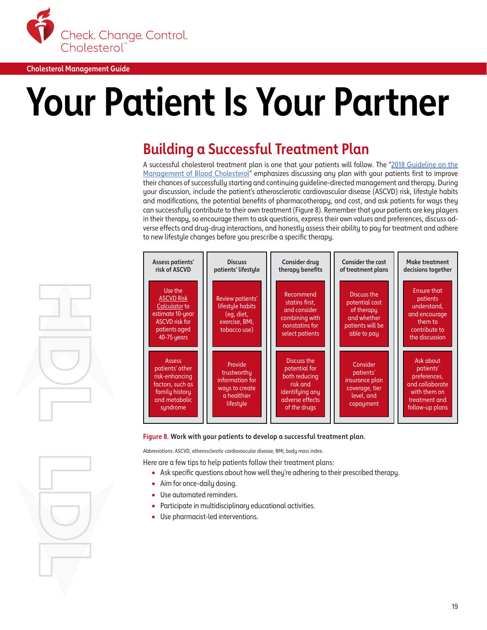<span id="page-20-0"></span>

## **Your Patient Is Your Partner**

## **Building a Successful Treatment Plan**

A successful cholesterol treatment plan is one that your patients will follow. The ["2018 Guideline on the](https://www.ahajournals.org/doi/10.1161/CIR.0000000000000625) [Management of Blood Cholesterol](https://www.ahajournals.org/doi/10.1161/CIR.0000000000000625)" emphasizes discussing any plan with your patients first to improve their chances of successfully starting and continuing guideline-directed management and therapy. During your discussion, include the patient's atherosclerotic cardiovascular disease (ASCVD) risk, lifestyle habits and modifications, the potential benefits of pharmacotherapy, and cost, and ask patients for ways they can successfully contribute to their own treatment (Figure 8). Remember that your patients are key players in their therapy, so encourage them to ask questions, express their own values and preferences, discuss adverse effects and drug-drug interactions, and honestly assess their ability to pay for treatment and adhere to new lifestyle changes before you prescribe a specific therapy.





Abbreviations: ASCVD, atherosclerotic cardiovascular disease; BMI, body mass index.

Here are a few tips to help patients follow their treatment plans:

- Ask specific questions about how well they're adhering to their prescribed therapy.
- Aim for once-daily dosing.
- Use automated reminders.
- Participate in multidisciplinary educational activities.
- Use pharmacist-led interventions.



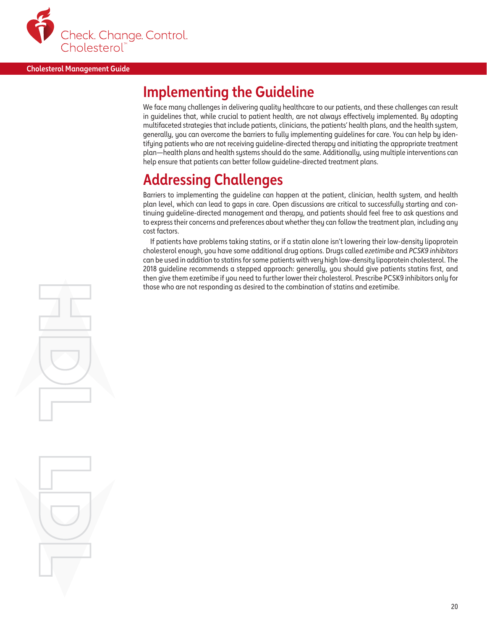

## **Implementing the Guideline**

We face many challenges in delivering quality healthcare to our patients, and these challenges can result in guidelines that, while crucial to patient health, are not always effectively implemented. By adopting multifaceted strategies that include patients, clinicians, the patients' health plans, and the health system, generally, you can overcome the barriers to fully implementing guidelines for care. You can help by identifying patients who are not receiving guideline-directed therapy and initiating the appropriate treatment plan—health plans and health systems should do the same. Additionally, using multiple interventions can help ensure that patients can better follow guideline-directed treatment plans.

## **Addressing Challenges**

Barriers to implementing the guideline can happen at the patient, clinician, health system, and health plan level, which can lead to gaps in care. Open discussions are critical to successfully starting and continuing guideline-directed management and therapy, and patients should feel free to ask questions and to express their concerns and preferences about whether they can follow the treatment plan, including any cost factors.

If patients have problems taking statins, or if a statin alone isn't lowering their low-density lipoprotein cholesterol enough, you have some additional drug options. Drugs called *ezetimibe* and *PCSK9 inhibitors* can be used in addition to statins for some patients with very high low-density lipoprotein cholesterol. The 2018 guideline recommends a stepped approach: generally, you should give patients statins first, and then give them ezetimibe if you need to further lower their cholesterol. Prescribe PCSK9 inhibitors only for those who are not responding as desired to the combination of statins and ezetimibe.

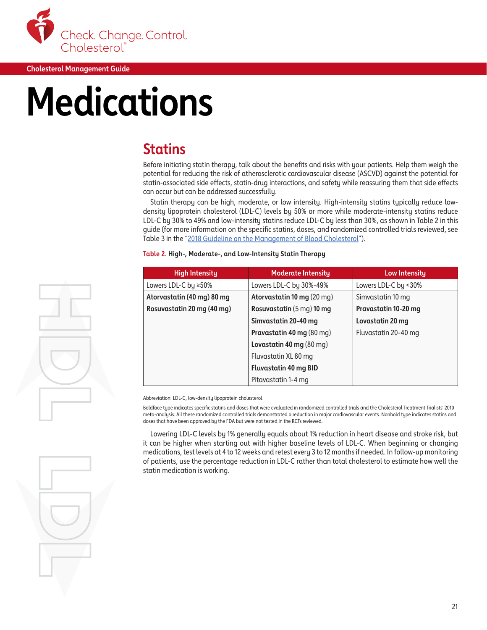<span id="page-22-0"></span>

## **Medications**

## **Statins**

Before initiating statin therapy, talk about the benefits and risks with your patients. Help them weigh the potential for reducing the risk of atherosclerotic cardiovascular disease (ASCVD) against the potential for statin-associated side effects, statin-drug interactions, and safety while reassuring them that side effects can occur but can be addressed successfully.

Statin therapy can be high, moderate, or low intensity. High-intensity statins typically reduce lowdensity lipoprotein cholesterol (LDL-C) levels by 50% or more while moderate-intensity statins reduce LDL-C by 30% to 49% and low-intensity statins reduce LDL-C by less than 30%, as shown in Table 2 in this guide (for more information on the specific statins, doses, and randomized controlled trials reviewed, see Table 3 in the "[2018 Guideline on the Management of Blood Cholesterol](https://www.ahajournals.org/doi/10.1161/CIR.0000000000000625)").

| <b>High Intensity</b>      | <b>Moderate Intensity</b>         | <b>Low Intensity</b> |
|----------------------------|-----------------------------------|----------------------|
| Lowers LDL-C by ≥50%       | Lowers LDL-C by 30%-49%           | Lowers LDL-C by <30% |
| Atorvastatin (40 mg) 80 mg | <b>Atorvastatin 10 mg (20 mg)</b> | Simvastatin 10 mg    |
| Rosuvastatin 20 mg (40 mg) | Rosuvastatin (5 mg) 10 mg         | Pravastatin 10-20 mg |
|                            | Simvastatin 20-40 mg              | Lovastatin 20 mg     |
|                            | Pravastatin 40 mg (80 mg)         | Fluvastatin 20-40 mg |
|                            | Lovastatin 40 mg (80 mg)          |                      |
|                            | Fluvastatin XL 80 mg              |                      |
|                            | <b>Fluvastatin 40 mg BID</b>      |                      |
|                            | Pitavastatin 1-4 mg               |                      |

#### **Table 2. High-, Moderate-, and Low-Intensity Statin Therapy**

Abbreviation: LDL-C, low-density lipoprotein cholesterol.

Boldface tupe indicates specific statins and doses that were evaluated in randomized controlled trials and the Cholesterol Treatment Trialists' 2010 meta-analysis. All these randomized controlled trials demonstrated a reduction in major cardiovascular events. Nonbold type indicates statins and doses that have been approved by the FDA but were not tested in the RCTs reviewed.

Lowering LDL-C levels by 1% generally equals about 1% reduction in heart disease and stroke risk, but it can be higher when starting out with higher baseline levels of LDL-C. When beginning or changing medications, test levels at 4 to 12 weeks and retest every 3 to 12 months if needed. In follow-up monitoring of patients, use the percentage reduction in LDL-C rather than total cholesterol to estimate how well the statin medication is working.

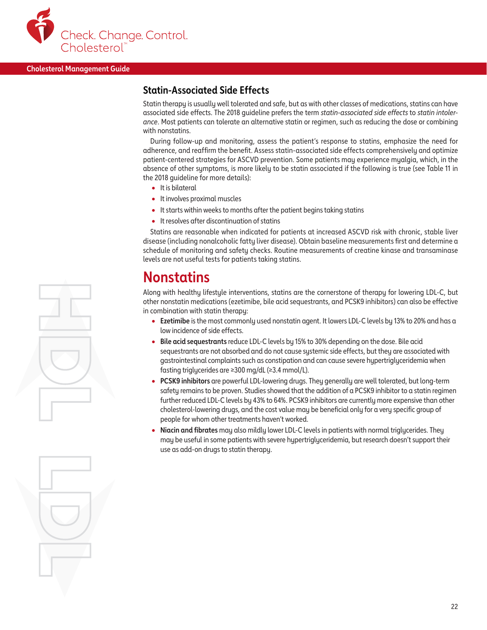

#### **Statin-Associated Side Effects**

Statin therapy is usually well tolerated and safe, but as with other classes of medications, statins can have associated side effects. The 2018 guideline prefers the term *statin-associated side effects* to *statin intolerance*. Most patients can tolerate an alternative statin or regimen, such as reducing the dose or combining with nonstatins.

During follow-up and monitoring, assess the patient's response to statins, emphasize the need for adherence, and reaffirm the benefit. Assess statin-associated side effects comprehensively and optimize patient-centered strategies for ASCVD prevention. Some patients may experience myalgia, which, in the absence of other symptoms, is more likely to be statin associated if the following is true (see Table 11 in the 2018 guideline for more details):

- It is bilateral
- It involves proximal muscles
- It starts within weeks to months after the patient begins taking statins
- It resolves after discontinuation of statins

Statins are reasonable when indicated for patients at increased ASCVD risk with chronic, stable liver disease (including nonalcoholic fatty liver disease). Obtain baseline measurements first and determine a schedule of monitoring and safety checks. Routine measurements of creatine kinase and transaminase levels are not useful tests for patients taking statins.

### **Nonstatins**

Along with healthy lifestyle interventions, statins are the cornerstone of therapy for lowering LDL-C, but other nonstatin medications (ezetimibe, bile acid sequestrants, and PCSK9 inhibitors) can also be effective in combination with statin therapy:

- **Ezetimibe** is the most commonly used nonstatin agent. It lowers LDL-C levels by 13% to 20% and has a low incidence of side effects.
- **Bile acid sequestrants** reduce LDL-C levels by 15% to 30% depending on the dose. Bile acid sequestrants are not absorbed and do not cause systemic side effects, but they are associated with gastrointestinal complaints such as constipation and can cause severe hypertriglyceridemia when fasting triglycerides are ≥300 mg/dL (≥3.4 mmol/L).
- **PCSK9 inhibitors** are powerful LDL-lowering drugs. They generally are well tolerated, but long-term safety remains to be proven. Studies showed that the addition of a PCSK9 inhibitor to a statin regimen further reduced LDL-C levels by 43% to 64%. PCSK9 inhibitors are currently more expensive than other cholesterol-lowering drugs, and the cost value may be beneficial only for a very specific group of people for whom other treatments haven't worked.
- **Niacin and fibrates** may also mildly lower LDL-C levels in patients with normal triglycerides. They may be useful in some patients with severe hypertriglyceridemia, but research doesn't support their use as add-on drugs to statin therapy.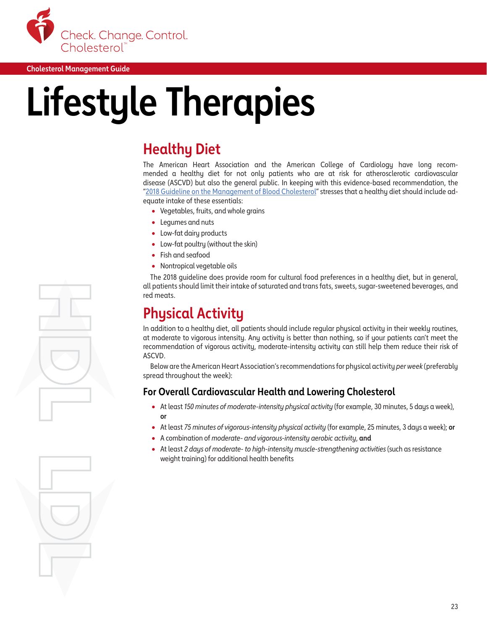

## **Lifestyle Therapies**

## **Healthy Diet**

The American Heart Association and the American College of Cardiology have long recommended a healthy diet for not only patients who are at risk for atherosclerotic cardiovascular disease (ASCVD) but also the general public. In keeping with this evidence-based recommendation, the ["2018 Guideline on the Management of Blood Cholesterol"](https://www.ahajournals.org/doi/10.1161/CIR.0000000000000625) stresses that a healthy diet should include adequate intake of these essentials:

- Vegetables, fruits, and whole grains
- Legumes and nuts
- Low-fat dairy products
- Low-fat poultry (without the skin)
- Fish and seafood
- Nontropical vegetable oils

The 2018 guideline does provide room for cultural food preferences in a healthy diet, but in general, all patients should limit their intake of saturated and trans fats, sweets, sugar-sweetened beverages, and red meats.

## **Physical Activity**

In addition to a healthy diet, all patients should include regular physical activity in their weekly routines, at moderate to vigorous intensity. Any activity is better than nothing, so if your patients can't meet the recommendation of vigorous activity, moderate-intensity activity can still help them reduce their risk of ASCVD.

Below are the American Heart Association's recommendations for physical activity *per week* (preferably spread throughout the week):

#### **For Overall Cardiovascular Health and Lowering Cholesterol**

- At least *150 minutes of moderate-intensity physical activity* (for example, 30 minutes, 5 days a week), **or**
- At least *75 minutes of vigorous-intensity physical activity* (for example, 25 minutes, 3 days a week); **or**
- A combination of *moderate- and vigorous-intensity aerobic activity*, **and**
- At least *2 days of moderate- to high-intensity muscle-strengthening activities* (such as resistance weight training) for additional health benefits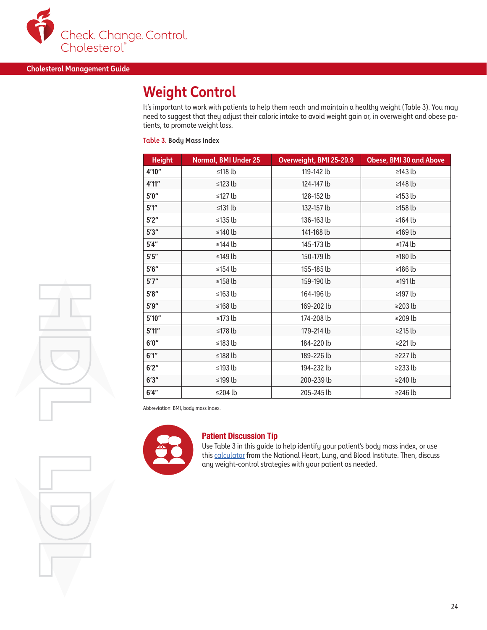

## **Weight Control**

It's important to work with patients to help them reach and maintain a healthy weight (Table 3). You may need to suggest that they adjust their caloric intake to avoid weight gain or, in overweight and obese patients, to promote weight loss.

#### **Table 3. Body Mass Index**

| <b>Height</b> | <b>Normal, BMI Under 25</b> | Overweight, BMI 25-29.9 | <b>Obese, BMI 30 and Above</b> |
|---------------|-----------------------------|-------------------------|--------------------------------|
| 4'10"         | ≤118 lb                     | 119-142 lb              | ≥143 $lb$                      |
| 4'11"         | ≤123 $lb$                   | 124-147 lb              | ≥148 $lb$                      |
| 5'0''         | ≤127 lb                     | 128-152 lb              | ≥153 $lb$                      |
| 5'1''         | ≤131 lb                     | 132-157 lb              | $≥158 lb$                      |
| 5'2''         | ≤135 $lb$                   | 136-163 lb              | ≥164 $lb$                      |
| 5'3''         | ≤140 lb                     | 141-168 lb              | $≥169 lb$                      |
| 5'4''         | ≤144 $lb$                   | 145-173 lb              | ≥174 $lb$                      |
| 5'5''         | ≤149 $lb$                   | 150-179 lb              | ≥180 $lb$                      |
| 5'6''         | ≤154 lb                     | 155-185 lb              | ≥186 lb                        |
| 5'7''         | ≤158 $lb$                   | 159-190 lb              | $\geq$ 191 lb                  |
| $5'8''$       | ≤163 $lb$                   | 164-196 lb              | ≥197 lb                        |
| 5'9''         | ≤168 $lb$                   | 169-202 lb              | $\geq$ 203 lb                  |
| $5'10''$      | ≤173 $lb$                   | 174-208 lb              | ≥209 lb                        |
| $5'11''$      | ≤178 $lb$                   | 179-214 lb              | $\geq$ 215 lb                  |
| 6'0''         | ≤183 $lb$                   | 184-220 lb              | $\geq$ 21 lb                   |
| 6'1''         | ≤188 $lb$                   | 189-226 lb              | $\geq$ 27 lb                   |
| 6'2''         | ≤193 $lb$                   | 194-232 lb              | $\geq$ 233 lb                  |
| 6'3''         | ≤199 $lb$                   | 200-239 lb              | $\geq$ 240 lb                  |
| 6'4''         | ≤204 $lb$                   | 205-245 lb              | ≥246 lb                        |

Abbreviation: BMI, body mass index.



#### Patient Discussion Tip

Use Table 3 in this guide to help identify your patient's body mass index, or use this [calculator](https://www.nhlbi.nih.gov/health/educational/lose_wt/BMI/bmicalc.htm) from the National Heart, Lung, and Blood Institute. Then, discuss any weight-control strategies with your patient as needed.